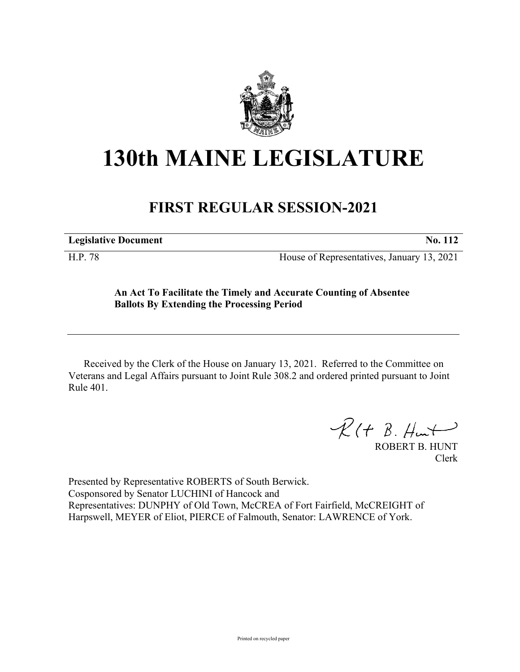

## **130th MAINE LEGISLATURE**

## **FIRST REGULAR SESSION-2021**

**Legislative Document No. 112**

H.P. 78 House of Representatives, January 13, 2021

## **An Act To Facilitate the Timely and Accurate Counting of Absentee Ballots By Extending the Processing Period**

Received by the Clerk of the House on January 13, 2021. Referred to the Committee on Veterans and Legal Affairs pursuant to Joint Rule 308.2 and ordered printed pursuant to Joint Rule 401.

 $R(H B. H<sub>un</sub>+)$ 

ROBERT B. HUNT Clerk

Presented by Representative ROBERTS of South Berwick. Cosponsored by Senator LUCHINI of Hancock and Representatives: DUNPHY of Old Town, McCREA of Fort Fairfield, McCREIGHT of Harpswell, MEYER of Eliot, PIERCE of Falmouth, Senator: LAWRENCE of York.